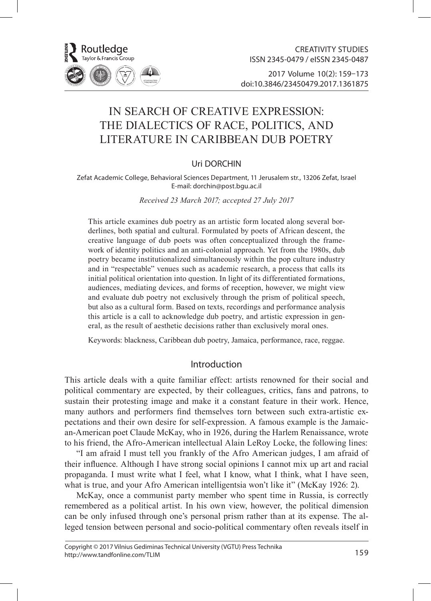

2017 Volume 10(2): 159–173 doi:10.3846/23450479.2017.1361875

# IN SEARCH OF CREATIVE EXPRESSION: THE DIALECTICS OF RACE, POLITICS, AND LITERATURE IN CARIBBEAN DUB POETRY

### Uri DORCHIN

Zefat Academic College, Behavioral Sciences Department, 11 Jerusalem str., 13206 Zefat, Israel E-mail: dorchin@post.bgu.ac.il

*Received 23 March 2017; accepted 27 July 2017*

This article examines dub poetry as an artistic form located along several borderlines, both spatial and cultural. Formulated by poets of African descent, the creative language of dub poets was often conceptualized through the framework of identity politics and an anti-colonial approach. Yet from the 1980s, dub poetry became institutionalized simultaneously within the pop culture industry and in "respectable" venues such as academic research, a process that calls its initial political orientation into question. In light of its differentiated formations, audiences, mediating devices, and forms of reception, however, we might view and evaluate dub poetry not exclusively through the prism of political speech, but also as a cultural form. Based on texts, recordings and performance analysis this article is a call to acknowledge dub poetry, and artistic expression in general, as the result of aesthetic decisions rather than exclusively moral ones.

Keywords: blackness, Caribbean dub poetry, Jamaica, performance, race, reggae.

### Introduction

This article deals with a quite familiar effect: artists renowned for their social and political commentary are expected, by their colleagues, critics, fans and patrons, to sustain their protesting image and make it a constant feature in their work. Hence, many authors and performers find themselves torn between such extra-artistic expectations and their own desire for self-expression. A famous example is the Jamaican-American poet Claude McKay, who in 1926, during the Harlem Renaissance, wrote to his friend, the Afro-American intellectual Alain LeRoy Locke, the following lines:

"I am afraid I must tell you frankly of the Afro American judges, I am afraid of their influence. Although I have strong social opinions I cannot mix up art and racial propaganda. I must write what I feel, what I know, what I think, what I have seen, what is true, and your Afro American intelligentsia won't like it" (McKay 1926: 2).

McKay, once a communist party member who spent time in Russia, is correctly remembered as a political artist. In his own view, however, the political dimension can be only infused through one's personal prism rather than at its expense. The alleged tension between personal and socio-political commentary often reveals itself in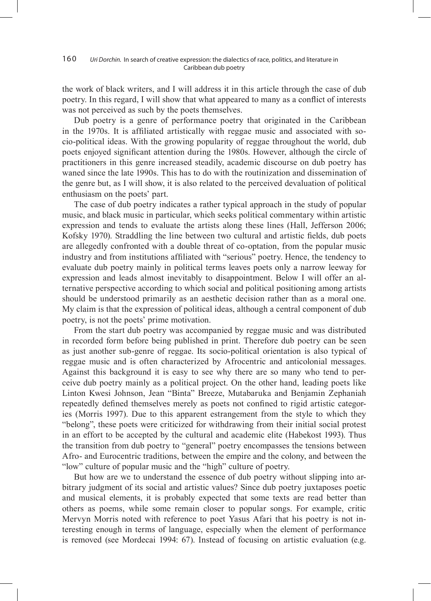the work of black writers, and I will address it in this article through the case of dub poetry. In this regard, I will show that what appeared to many as a conflict of interests was not perceived as such by the poets themselves.

Dub poetry is a genre of performance poetry that originated in the Caribbean in the 1970s. It is affiliated artistically with reggae music and associated with socio-political ideas. With the growing popularity of reggae throughout the world, dub poets enjoyed significant attention during the 1980s. However, although the circle of practitioners in this genre increased steadily, academic discourse on dub poetry has waned since the late 1990s. This has to do with the routinization and dissemination of the genre but, as I will show, it is also related to the perceived devaluation of political enthusiasm on the poets' part.

The case of dub poetry indicates a rather typical approach in the study of popular music, and black music in particular, which seeks political commentary within artistic expression and tends to evaluate the artists along these lines (Hall, Jefferson 2006; Kofsky 1970). Straddling the line between two cultural and artistic fields, dub poets are allegedly confronted with a double threat of co-optation, from the popular music industry and from institutions affiliated with "serious" poetry. Hence, the tendency to evaluate dub poetry mainly in political terms leaves poets only a narrow leeway for expression and leads almost inevitably to disappointment. Below I will offer an alternative perspective according to which social and political positioning among artists should be understood primarily as an aesthetic decision rather than as a moral one. My claim is that the expression of political ideas, although a central component of dub poetry, is not the poets' prime motivation.

From the start dub poetry was accompanied by reggae music and was distributed in recorded form before being published in print. Therefore dub poetry can be seen as just another sub-genre of reggae. Its socio-political orientation is also typical of reggae music and is often characterized by Afrocentric and anticolonial messages. Against this background it is easy to see why there are so many who tend to perceive dub poetry mainly as a political project. On the other hand, leading poets like Linton Kwesi Johnson, Jean "Binta" Breeze, Mutabaruka and Benjamin Zephaniah repeatedly defined themselves merely as poets not confined to rigid artistic categories (Morris 1997). Due to this apparent estrangement from the style to which they "belong", these poets were criticized for withdrawing from their initial social protest in an effort to be accepted by the cultural and academic elite (Habekost 1993). Thus the transition from dub poetry to "general" poetry encompasses the tensions between Afro- and Eurocentric traditions, between the empire and the colony, and between the "low" culture of popular music and the "high" culture of poetry.

But how are we to understand the essence of dub poetry without slipping into arbitrary judgment of its social and artistic values? Since dub poetry juxtaposes poetic and musical elements, it is probably expected that some texts are read better than others as poems, while some remain closer to popular songs. For example, critic Mervyn Morris noted with reference to poet Yasus Afari that his poetry is not interesting enough in terms of language, especially when the element of performance is removed (see Mordecai 1994: 67). Instead of focusing on artistic evaluation (e.g.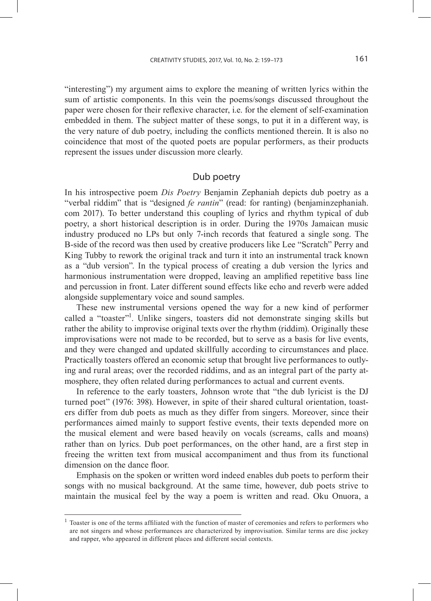"interesting") my argument aims to explore the meaning of written lyrics within the sum of artistic components. In this vein the poems/songs discussed throughout the paper were chosen for their reflexive character, i.e. for the element of self-examination embedded in them. The subject matter of these songs, to put it in a different way, is the very nature of dub poetry, including the conflicts mentioned therein. It is also no coincidence that most of the quoted poets are popular performers, as their products represent the issues under discussion more clearly.

### Dub poetry

In his introspective poem *Dis Poetry* Benjamin Zephaniah depicts dub poetry as a "verbal riddim" that is "designed *fe rantin*" (read: for ranting) (benjaminzephaniah. com 2017). To better understand this coupling of lyrics and rhythm typical of dub poetry, a short historical description is in order. During the 1970s Jamaican music industry produced no LPs but only 7-inch records that featured a single song. The B-side of the record was then used by creative producers like Lee "Scratch" Perry and King Tubby to rework the original track and turn it into an instrumental track known as a "dub version". In the typical process of creating a dub version the lyrics and harmonious instrumentation were dropped, leaving an amplified repetitive bass line and percussion in front. Later different sound effects like echo and reverb were added alongside supplementary voice and sound samples.

These new instrumental versions opened the way for a new kind of performer called a "toaster"<sup>1</sup>. Unlike singers, toasters did not demonstrate singing skills but rather the ability to improvise original texts over the rhythm (riddim). Originally these improvisations were not made to be recorded, but to serve as a basis for live events, and they were changed and updated skillfully according to circumstances and place. Practically toasters offered an economic setup that brought live performances to outlying and rural areas; over the recorded riddims, and as an integral part of the party atmosphere, they often related during performances to actual and current events.

In reference to the early toasters, Johnson wrote that "the dub lyricist is the DJ turned poet" (1976: 398). However, in spite of their shared cultural orientation, toasters differ from dub poets as much as they differ from singers. Moreover, since their performances aimed mainly to support festive events, their texts depended more on the musical element and were based heavily on vocals (screams, calls and moans) rather than on lyrics. Dub poet performances, on the other hand, are a first step in freeing the written text from musical accompaniment and thus from its functional dimension on the dance floor.

Emphasis on the spoken or written word indeed enables dub poets to perform their songs with no musical background. At the same time, however, dub poets strive to maintain the musical feel by the way a poem is written and read. Oku Onuora, a

 $1$  Toaster is one of the terms affiliated with the function of master of ceremonies and refers to performers who are not singers and whose performances are characterized by improvisation. Similar terms are disc jockey and rapper, who appeared in different places and different social contexts.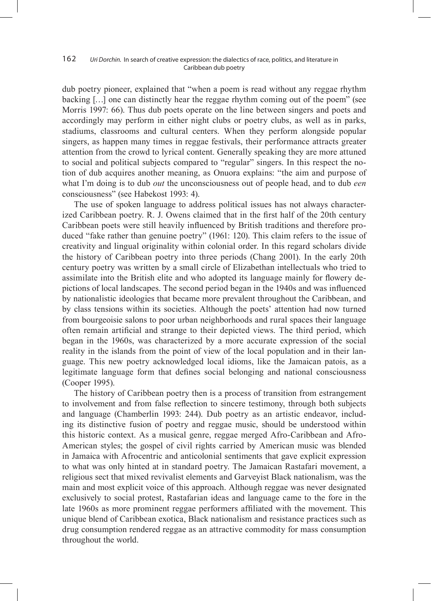dub poetry pioneer, explained that "when a poem is read without any reggae rhythm backing […] one can distinctly hear the reggae rhythm coming out of the poem" (see Morris 1997: 66). Thus dub poets operate on the line between singers and poets and accordingly may perform in either night clubs or poetry clubs, as well as in parks, stadiums, classrooms and cultural centers. When they perform alongside popular singers, as happen many times in reggae festivals, their performance attracts greater attention from the crowd to lyrical content. Generally speaking they are more attuned to social and political subjects compared to "regular" singers. In this respect the notion of dub acquires another meaning, as Onuora explains: "the aim and purpose of what I'm doing is to dub *out* the unconsciousness out of people head, and to dub *een* consciousness" (see Habekost 1993: 4).

The use of spoken language to address political issues has not always characterized Caribbean poetry. R. J. Owens claimed that in the first half of the 20th century Caribbean poets were still heavily influenced by British traditions and therefore produced "fake rather than genuine poetry" (1961: 120). This claim refers to the issue of creativity and lingual originality within colonial order. In this regard scholars divide the history of Caribbean poetry into three periods (Chang 2001). In the early 20th century poetry was written by a small circle of Elizabethan intellectuals who tried to assimilate into the British elite and who adopted its language mainly for flowery depictions of local landscapes. The second period began in the 1940s and was influenced by nationalistic ideologies that became more prevalent throughout the Caribbean, and by class tensions within its societies. Although the poets' attention had now turned from bourgeoisie salons to poor urban neighborhoods and rural spaces their language often remain artificial and strange to their depicted views. The third period, which began in the 1960s, was characterized by a more accurate expression of the social reality in the islands from the point of view of the local population and in their language. This new poetry acknowledged local idioms, like the Jamaican patois, as a legitimate language form that defines social belonging and national consciousness (Cooper 1995).

The history of Caribbean poetry then is a process of transition from estrangement to involvement and from false reflection to sincere testimony, through both subjects and language (Chamberlin 1993: 244). Dub poetry as an artistic endeavor, including its distinctive fusion of poetry and reggae music, should be understood within this historic context. As a musical genre, reggae merged Afro-Caribbean and Afro-American styles; the gospel of civil rights carried by American music was blended in Jamaica with Afrocentric and anticolonial sentiments that gave explicit expression to what was only hinted at in standard poetry. The Jamaican Rastafari movement, a religious sect that mixed revivalist elements and Garveyist Black nationalism, was the main and most explicit voice of this approach. Although reggae was never designated exclusively to social protest, Rastafarian ideas and language came to the fore in the late 1960s as more prominent reggae performers affiliated with the movement. This unique blend of Caribbean exotica, Black nationalism and resistance practices such as drug consumption rendered reggae as an attractive commodity for mass consumption throughout the world.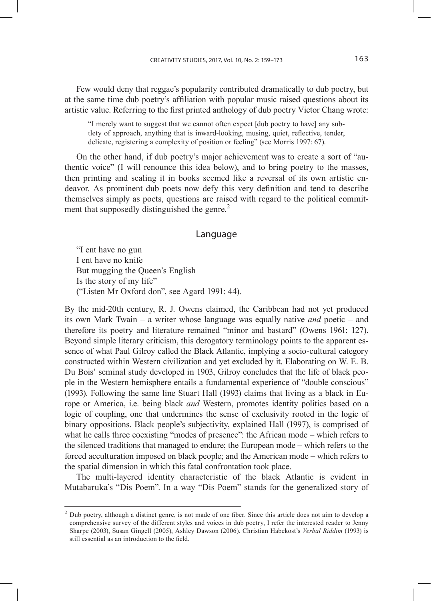Few would deny that reggae's popularity contributed dramatically to dub poetry, but at the same time dub poetry's affiliation with popular music raised questions about its artistic value. Referring to the first printed anthology of dub poetry Victor Chang wrote:

"I merely want to suggest that we cannot often expect [dub poetry to have] any subtlety of approach, anything that is inward-looking, musing, quiet, reflective, tender, delicate, registering a complexity of position or feeling" (see Morris 1997: 67).

On the other hand, if dub poetry's major achievement was to create a sort of "authentic voice" (I will renounce this idea below), and to bring poetry to the masses, then printing and sealing it in books seemed like a reversal of its own artistic endeavor. As prominent dub poets now defy this very definition and tend to describe themselves simply as poets, questions are raised with regard to the political commitment that supposedly distinguished the genre.<sup>2</sup>

#### Language

"I ent have no gun I ent have no knife But mugging the Queen's English Is the story of my life" ("Listen Mr Oxford don", see Agard 1991: 44).

By the mid-20th century, R. J. Owens claimed, the Caribbean had not yet produced its own Mark Twain – a writer whose language was equally native *and* poetic – and therefore its poetry and literature remained "minor and bastard" (Owens 1961: 127). Beyond simple literary criticism, this derogatory terminology points to the apparent essence of what Paul Gilroy called the Black Atlantic, implying a socio-cultural category constructed within Western civilization and yet excluded by it. Elaborating on W. E. B. Du Bois' seminal study developed in 1903, Gilroy concludes that the life of black people in the Western hemisphere entails a fundamental experience of "double conscious" (1993). Following the same line Stuart Hall (1993) claims that living as a black in Europe or America, i.e. being black *and* Western, promotes identity politics based on a logic of coupling, one that undermines the sense of exclusivity rooted in the logic of binary oppositions. Black people's subjectivity, explained Hall (1997), is comprised of what he calls three coexisting "modes of presence": the African mode – which refers to the silenced traditions that managed to endure; the European mode – which refers to the forced acculturation imposed on black people; and the American mode – which refers to the spatial dimension in which this fatal confrontation took place.

The multi-layered identity characteristic of the black Atlantic is evident in Mutabaruka's "Dis Poem". In a way "Dis Poem" stands for the generalized story of

 $<sup>2</sup>$  Dub poetry, although a distinct genre, is not made of one fiber. Since this article does not aim to develop a</sup> comprehensive survey of the different styles and voices in dub poetry, I refer the interested reader to Jenny Sharpe (2003), Susan Gingell (2005), Ashley Dawson (2006). Christian Habekost's *Verbal Riddim* (1993) is still essential as an introduction to the field.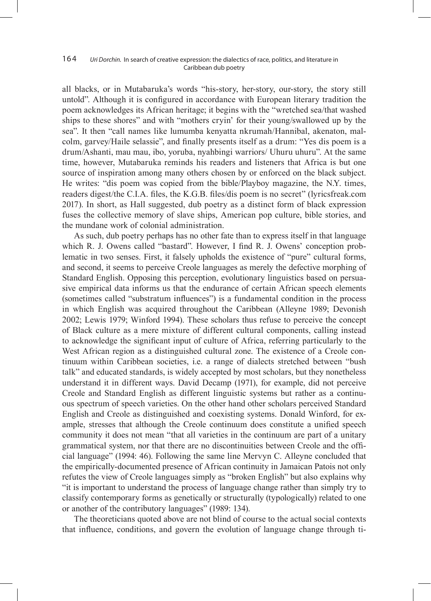all blacks, or in Mutabaruka's words "his-story, her-story, our-story, the story still untold". Although it is configured in accordance with European literary tradition the poem acknowledges its African heritage; it begins with the "wretched sea/that washed ships to these shores" and with "mothers cryin' for their young/swallowed up by the sea". It then "call names like lumumba kenyatta nkrumah/Hannibal, akenaton, malcolm, garvey/Haile selassie", and finally presents itself as a drum: "Yes dis poem is a drum/Ashanti, mau mau, ibo, yoruba, nyahbingi warriors/ Uhuru uhuru". At the same time, however, Mutabaruka reminds his readers and listeners that Africa is but one source of inspiration among many others chosen by or enforced on the black subject. He writes: "dis poem was copied from the bible/Playboy magazine, the N.Y. times, readers digest/the C.I.A. files, the K.G.B. files/dis poem is no secret" (lyricsfreak.com 2017). In short, as Hall suggested, dub poetry as a distinct form of black expression fuses the collective memory of slave ships, American pop culture, bible stories, and the mundane work of colonial administration.

As such, dub poetry perhaps has no other fate than to express itself in that language which R. J. Owens called "bastard". However, I find R. J. Owens' conception problematic in two senses. First, it falsely upholds the existence of "pure" cultural forms, and second, it seems to perceive Creole languages as merely the defective morphing of Standard English. Opposing this perception, evolutionary linguistics based on persuasive empirical data informs us that the endurance of certain African speech elements (sometimes called "substratum influences") is a fundamental condition in the process in which English was acquired throughout the Caribbean (Alleyne 1989; Devonish 2002; Lewis 1979; Winford 1994). These scholars thus refuse to perceive the concept of Black culture as a mere mixture of different cultural components, calling instead to acknowledge the significant input of culture of Africa, referring particularly to the West African region as a distinguished cultural zone. The existence of a Creole continuum within Caribbean societies, i.e. a range of dialects stretched between "bush talk" and educated standards, is widely accepted by most scholars, but they nonetheless understand it in different ways. David Decamp (1971), for example, did not perceive Creole and Standard English as different linguistic systems but rather as a continuous spectrum of speech varieties. On the other hand other scholars perceived Standard English and Creole as distinguished and coexisting systems. Donald Winford, for example, stresses that although the Creole continuum does constitute a unified speech community it does not mean "that all varieties in the continuum are part of a unitary grammatical system, nor that there are no discontinuities between Creole and the official language" (1994: 46). Following the same line Mervyn C. Alleyne concluded that the empirically-documented presence of African continuity in Jamaican Patois not only refutes the view of Creole languages simply as "broken English" but also explains why "it is important to understand the process of language change rather than simply try to classify contemporary forms as genetically or structurally (typologically) related to one or another of the contributory languages" (1989: 134).

The theoreticians quoted above are not blind of course to the actual social contexts that influence, conditions, and govern the evolution of language change through ti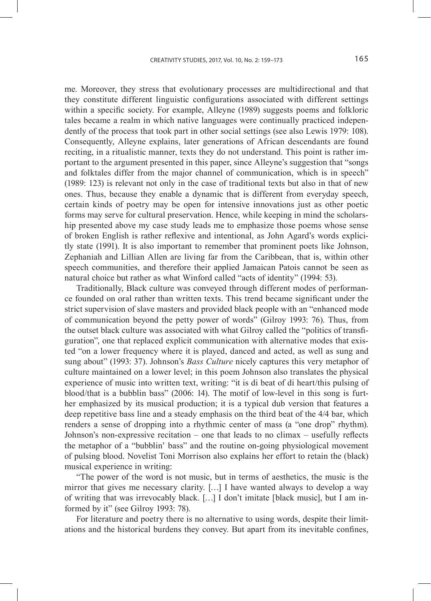me. Moreover, they stress that evolutionary processes are multidirectional and that they constitute different linguistic configurations associated with different settings within a specific society. For example, Alleyne (1989) suggests poems and folkloric tales became a realm in which native languages were continually practiced independently of the process that took part in other social settings (see also Lewis 1979: 108). Consequently, Alleyne explains, later generations of African descendants are found reciting, in a ritualistic manner, texts they do not understand. This point is rather important to the argument presented in this paper, since Alleyne's suggestion that "songs and folktales differ from the major channel of communication, which is in speech" (1989: 123) is relevant not only in the case of traditional texts but also in that of new ones. Thus, because they enable a dynamic that is different from everyday speech, certain kinds of poetry may be open for intensive innovations just as other poetic forms may serve for cultural preservation. Hence, while keeping in mind the scholarship presented above my case study leads me to emphasize those poems whose sense of broken English is rather reflexive and intentional, as John Agard's words explicitly state (1991). It is also important to remember that prominent poets like Johnson, Zephaniah and Lillian Allen are living far from the Caribbean, that is, within other speech communities, and therefore their applied Jamaican Patois cannot be seen as natural choice but rather as what Winford called "acts of identity" (1994: 53).

Traditionally, Black culture was conveyed through different modes of performance founded on oral rather than written texts. This trend became significant under the strict supervision of slave masters and provided black people with an "enhanced mode of communication beyond the petty power of words" (Gilroy 1993: 76). Thus, from the outset black culture was associated with what Gilroy called the "politics of transfiguration", one that replaced explicit communication with alternative modes that existed "on a lower frequency where it is played, danced and acted, as well as sung and sung about" (1993: 37). Johnson's *Bass Culture* nicely captures this very metaphor of culture maintained on a lower level; in this poem Johnson also translates the physical experience of music into written text, writing: "it is di beat of di heart/this pulsing of blood/that is a bubblin bass" (2006: 14). The motif of low-level in this song is further emphasized by its musical production; it is a typical dub version that features a deep repetitive bass line and a steady emphasis on the third beat of the 4/4 bar, which renders a sense of dropping into a rhythmic center of mass (a "one drop" rhythm). Johnson's non-expressive recitation – one that leads to no climax – usefully reflects the metaphor of a "bubblin' bass" and the routine on-going physiological movement of pulsing blood. Novelist Toni Morrison also explains her effort to retain the (black) musical experience in writing:

"The power of the word is not music, but in terms of aesthetics, the music is the mirror that gives me necessary clarity. […] I have wanted always to develop a way of writing that was irrevocably black. […] I don't imitate [black music], but I am informed by it" (see Gilroy 1993: 78).

For literature and poetry there is no alternative to using words, despite their limitations and the historical burdens they convey. But apart from its inevitable confines,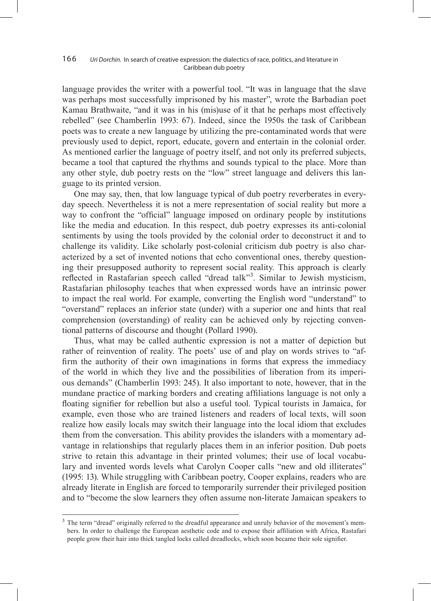language provides the writer with a powerful tool. "It was in language that the slave was perhaps most successfully imprisoned by his master", wrote the Barbadian poet Kamau Brathwaite, "and it was in his (mis)use of it that he perhaps most effectively rebelled" (see Chamberlin 1993: 67). Indeed, since the 1950s the task of Caribbean poets was to create a new language by utilizing the pre-contaminated words that were previously used to depict, report, educate, govern and entertain in the colonial order. As mentioned earlier the language of poetry itself, and not only its preferred subjects, became a tool that captured the rhythms and sounds typical to the place. More than any other style, dub poetry rests on the "low" street language and delivers this language to its printed version.

One may say, then, that low language typical of dub poetry reverberates in everyday speech. Nevertheless it is not a mere representation of social reality but more a way to confront the "official" language imposed on ordinary people by institutions like the media and education. In this respect, dub poetry expresses its anti-colonial sentiments by using the tools provided by the colonial order to deconstruct it and to challenge its validity. Like scholarly post-colonial criticism dub poetry is also characterized by a set of invented notions that echo conventional ones, thereby questioning their presupposed authority to represent social reality. This approach is clearly reflected in Rastafarian speech called "dread talk"<sup>3</sup>. Similar to Jewish mysticism, Rastafarian philosophy teaches that when expressed words have an intrinsic power to impact the real world. For example, converting the English word "understand" to "overstand" replaces an inferior state (under) with a superior one and hints that real comprehension (overstanding) of reality can be achieved only by rejecting conventional patterns of discourse and thought (Pollard 1990).

Thus, what may be called authentic expression is not a matter of depiction but rather of reinvention of reality. The poets' use of and play on words strives to "affirm the authority of their own imaginations in forms that express the immediacy of the world in which they live and the possibilities of liberation from its imperious demands" (Chamberlin 1993: 245). It also important to note, however, that in the mundane practice of marking borders and creating affiliations language is not only a floating signifier for rebellion but also a useful tool. Typical tourists in Jamaica, for example, even those who are trained listeners and readers of local texts, will soon realize how easily locals may switch their language into the local idiom that excludes them from the conversation. This ability provides the islanders with a momentary advantage in relationships that regularly places them in an inferior position. Dub poets strive to retain this advantage in their printed volumes; their use of local vocabulary and invented words levels what Carolyn Cooper calls "new and old illiterates" (1995: 13). While struggling with Caribbean poetry, Cooper explains, readers who are already literate in English are forced to temporarily surrender their privileged position and to "become the slow learners they often assume non-literate Jamaican speakers to

The term "dread" originally referred to the dreadful appearance and unruly behavior of the movement's members. In order to challenge the European aesthetic code and to expose their affiliation with Africa, Rastafari people grow their hair into thick tangled locks called dreadlocks, which soon became their sole signifier.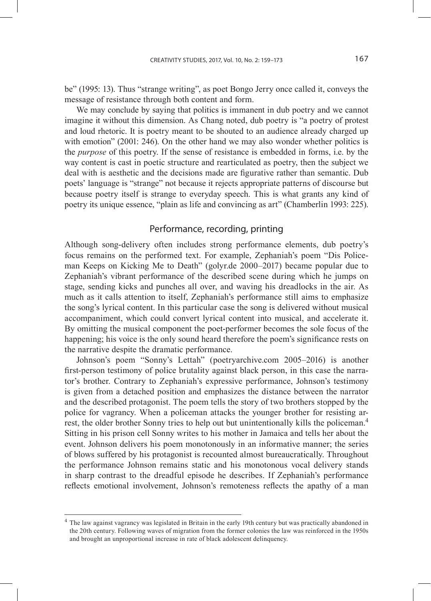be" (1995: 13). Thus "strange writing", as poet Bongo Jerry once called it, conveys the message of resistance through both content and form.

We may conclude by saying that politics is immanent in dub poetry and we cannot imagine it without this dimension. As Chang noted, dub poetry is "a poetry of protest and loud rhetoric. It is poetry meant to be shouted to an audience already charged up with emotion" (2001: 246). On the other hand we may also wonder whether politics is the *purpose* of this poetry. If the sense of resistance is embedded in forms, i.e. by the way content is cast in poetic structure and rearticulated as poetry, then the subject we deal with is aesthetic and the decisions made are figurative rather than semantic. Dub poets' language is "strange" not because it rejects appropriate patterns of discourse but because poetry itself is strange to everyday speech. This is what grants any kind of poetry its unique essence, "plain as life and convincing as art" (Chamberlin 1993: 225).

### Performance, recording, printing

Although song-delivery often includes strong performance elements, dub poetry's focus remains on the performed text. For example, Zephaniah's poem "Dis Policeman Keeps on Kicking Me to Death" (golyr.de 2000–2017) became popular due to Zephaniah's vibrant performance of the described scene during which he jumps on stage, sending kicks and punches all over, and waving his dreadlocks in the air. As much as it calls attention to itself, Zephaniah's performance still aims to emphasize the song's lyrical content. In this particular case the song is delivered without musical accompaniment, which could convert lyrical content into musical, and accelerate it. By omitting the musical component the poet-performer becomes the sole focus of the happening; his voice is the only sound heard therefore the poem's significance rests on the narrative despite the dramatic performance.

Johnson's poem "Sonny's Lettah" (poetryarchive.com 2005–2016) is another first-person testimony of police brutality against black person, in this case the narrator's brother. Contrary to Zephaniah's expressive performance, Johnson's testimony is given from a detached position and emphasizes the distance between the narrator and the described protagonist. The poem tells the story of two brothers stopped by the police for vagrancy. When a policeman attacks the younger brother for resisting arrest, the older brother Sonny tries to help out but unintentionally kills the policeman.<sup>4</sup> Sitting in his prison cell Sonny writes to his mother in Jamaica and tells her about the event. Johnson delivers his poem monotonously in an informative manner; the series of blows suffered by his protagonist is recounted almost bureaucratically. Throughout the performance Johnson remains static and his monotonous vocal delivery stands in sharp contrast to the dreadful episode he describes. If Zephaniah's performance reflects emotional involvement, Johnson's remoteness reflects the apathy of a man

<sup>4</sup> The law against vagrancy was legislated in Britain in the early 19th century but was practically abandoned in the 20th century. Following waves of migration from the former colonies the law was reinforced in the 1950s and brought an unproportional increase in rate of black adolescent delinquency.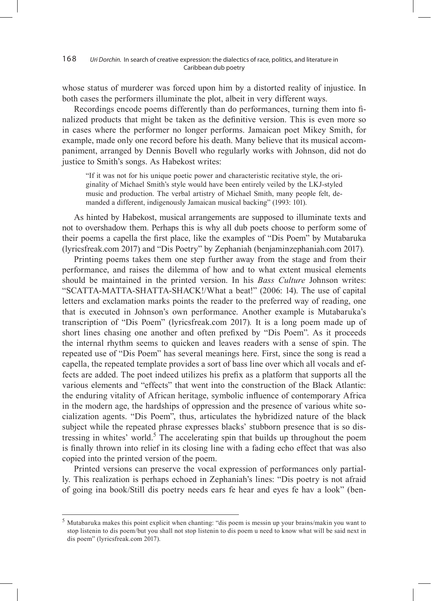whose status of murderer was forced upon him by a distorted reality of injustice. In both cases the performers illuminate the plot, albeit in very different ways.

Recordings encode poems differently than do performances, turning them into finalized products that might be taken as the definitive version. This is even more so in cases where the performer no longer performs. Jamaican poet Mikey Smith, for example, made only one record before his death. Many believe that its musical accompaniment, arranged by Dennis Bovell who regularly works with Johnson, did not do justice to Smith's songs. As Habekost writes:

"If it was not for his unique poetic power and characteristic recitative style, the originality of Michael Smith's style would have been entirely veiled by the LKJ-styled music and production. The verbal artistry of Michael Smith, many people felt, demanded a different, indigenously Jamaican musical backing" (1993: 101).

As hinted by Habekost, musical arrangements are supposed to illuminate texts and not to overshadow them. Perhaps this is why all dub poets choose to perform some of their poems a capella the first place, like the examples of "Dis Poem" by Mutabaruka (lyricsfreak.com 2017) and "Dis Poetry" by Zephaniah (benjaminzephaniah.com 2017).

Printing poems takes them one step further away from the stage and from their performance, and raises the dilemma of how and to what extent musical elements should be maintained in the printed version. In his *Bass Culture* Johnson writes: "SCATTA-MATTA-SHATTA-SHACK!/What a beat!" (2006: 14). The use of capital letters and exclamation marks points the reader to the preferred way of reading, one that is executed in Johnson's own performance. Another example is Mutabaruka's transcription of "Dis Poem" (lyricsfreak.com 2017)*.* It is a long poem made up of short lines chasing one another and often prefixed by "Dis Poem". As it proceeds the internal rhythm seems to quicken and leaves readers with a sense of spin. The repeated use of "Dis Poem" has several meanings here. First, since the song is read a capella, the repeated template provides a sort of bass line over which all vocals and effects are added. The poet indeed utilizes his prefix as a platform that supports all the various elements and "effects" that went into the construction of the Black Atlantic: the enduring vitality of African heritage, symbolic influence of contemporary Africa in the modern age, the hardships of oppression and the presence of various white socialization agents. "Dis Poem", thus, articulates the hybridized nature of the black subject while the repeated phrase expresses blacks' stubborn presence that is so distressing in whites' world.<sup>5</sup> The accelerating spin that builds up throughout the poem is finally thrown into relief in its closing line with a fading echo effect that was also copied into the printed version of the poem.

Printed versions can preserve the vocal expression of performances only partially. This realization is perhaps echoed in Zephaniah's lines: "Dis poetry is not afraid of going ina book/Still dis poetry needs ears fe hear and eyes fe hav a look" (ben-

<sup>5</sup> Mutabaruka makes this point explicit when chanting: "dis poem is messin up your brains/makin you want to stop listenin to dis poem/but you shall not stop listenin to dis poem u need to know what will be said next in dis poem" (lyricsfreak.com 2017).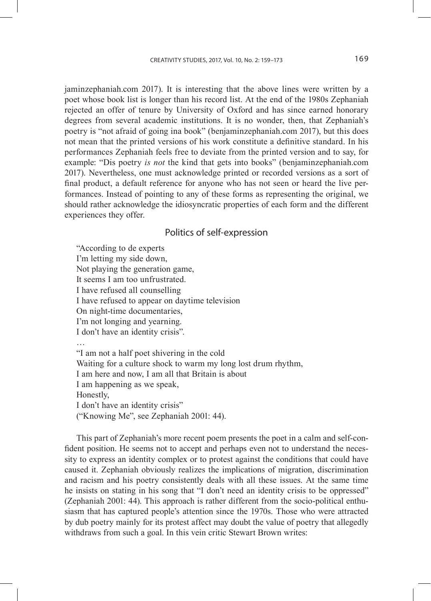jaminzephaniah.com 2017). It is interesting that the above lines were written by a poet whose book list is longer than his record list. At the end of the 1980s Zephaniah rejected an offer of tenure by University of Oxford and has since earned honorary degrees from several academic institutions. It is no wonder, then, that Zephaniah's poetry is "not afraid of going ina book" (benjaminzephaniah.com 2017), but this does not mean that the printed versions of his work constitute a definitive standard. In his performances Zephaniah feels free to deviate from the printed version and to say, for example: "Dis poetry *is not* the kind that gets into books" (benjaminzephaniah.com 2017). Nevertheless, one must acknowledge printed or recorded versions as a sort of final product, a default reference for anyone who has not seen or heard the live performances. Instead of pointing to any of these forms as representing the original, we should rather acknowledge the idiosyncratic properties of each form and the different experiences they offer.

## Politics of self-expression

"According to de experts I'm letting my side down, Not playing the generation game, It seems I am too unfrustrated. I have refused all counselling I have refused to appear on daytime television On night-time documentaries, I'm not longing and yearning. I don't have an identity crisis". … "I am not a half poet shivering in the cold Waiting for a culture shock to warm my long lost drum rhythm, I am here and now, I am all that Britain is about I am happening as we speak, Honestly, I don't have an identity crisis" ("Knowing Me", see Zephaniah 2001: 44).

This part of Zephaniah's more recent poem presents the poet in a calm and self-confident position. He seems not to accept and perhaps even not to understand the necessity to express an identity complex or to protest against the conditions that could have caused it. Zephaniah obviously realizes the implications of migration, discrimination and racism and his poetry consistently deals with all these issues. At the same time he insists on stating in his song that "I don't need an identity crisis to be oppressed" (Zephaniah 2001: 44). This approach is rather different from the socio-political enthusiasm that has captured people's attention since the 1970s. Those who were attracted by dub poetry mainly for its protest affect may doubt the value of poetry that allegedly withdraws from such a goal. In this vein critic Stewart Brown writes: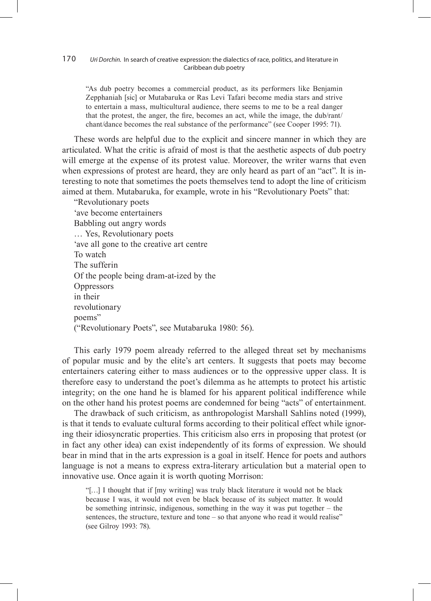#### 170 *Uri Dorchin.* In search of creative expression: the dialectics of race, politics, and literature in Caribbean dub poetry

"As dub poetry becomes a commercial product, as its performers like Benjamin Zepphaniah [sic] or Mutabaruka or Ras Levi Tafari become media stars and strive to entertain a mass, multicultural audience, there seems to me to be a real danger that the protest, the anger, the fire, becomes an act, while the image, the dub/rant/ chant/dance becomes the real substance of the performance" (see Cooper 1995: 71).

These words are helpful due to the explicit and sincere manner in which they are articulated. What the critic is afraid of most is that the aesthetic aspects of dub poetry will emerge at the expense of its protest value. Moreover, the writer warns that even when expressions of protest are heard, they are only heard as part of an "act". It is interesting to note that sometimes the poets themselves tend to adopt the line of criticism aimed at them. Mutabaruka, for example, wrote in his "Revolutionary Poets" that:

"Revolutionary poets 'ave become entertainers Babbling out angry words … Yes, Revolutionary poets 'ave all gone to the creative art centre To watch The sufferin Of the people being dram-at-ized by the **Oppressors** in their revolutionary poems" ("Revolutionary Poets", see Mutabaruka 1980: 56).

This early 1979 poem already referred to the alleged threat set by mechanisms of popular music and by the elite's art centers. It suggests that poets may become entertainers catering either to mass audiences or to the oppressive upper class. It is therefore easy to understand the poet's dilemma as he attempts to protect his artistic integrity; on the one hand he is blamed for his apparent political indifference while on the other hand his protest poems are condemned for being "acts" of entertainment.

The drawback of such criticism, as anthropologist Marshall Sahlins noted (1999), is that it tends to evaluate cultural forms according to their political effect while ignoring their idiosyncratic properties. This criticism also errs in proposing that protest (or in fact any other idea) can exist independently of its forms of expression. We should bear in mind that in the arts expression is a goal in itself. Hence for poets and authors language is not a means to express extra-literary articulation but a material open to innovative use. Once again it is worth quoting Morrison:

"[…] I thought that if [my writing] was truly black literature it would not be black because I was, it would not even be black because of its subject matter. It would be something intrinsic, indigenous, something in the way it was put together – the sentences, the structure, texture and tone – so that anyone who read it would realise" (see Gilroy 1993: 78).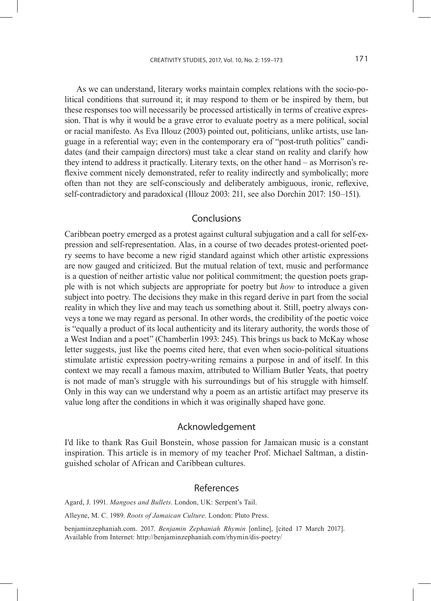As we can understand, literary works maintain complex relations with the socio-political conditions that surround it; it may respond to them or be inspired by them, but these responses too will necessarily be processed artistically in terms of creative expression. That is why it would be a grave error to evaluate poetry as a mere political, social or racial manifesto. As Eva Illouz (2003) pointed out, politicians, unlike artists, use language in a referential way; even in the contemporary era of "post-truth politics" candidates (and their campaign directors) must take a clear stand on reality and clarify how they intend to address it practically. Literary texts, on the other hand – as Morrison's reflexive comment nicely demonstrated, refer to reality indirectly and symbolically; more often than not they are self-consciously and deliberately ambiguous, ironic, reflexive, self-contradictory and paradoxical (Illouz 2003: 211, see also Dorchin 2017: 150–151).

### Conclusions

Caribbean poetry emerged as a protest against cultural subjugation and a call for self-expression and self-representation. Alas, in a course of two decades protest-oriented poetry seems to have become a new rigid standard against which other artistic expressions are now gauged and criticized. But the mutual relation of text, music and performance is a question of neither artistic value nor political commitment; the question poets grapple with is not which subjects are appropriate for poetry but *how* to introduce a given subject into poetry. The decisions they make in this regard derive in part from the social reality in which they live and may teach us something about it. Still, poetry always conveys a tone we may regard as personal. In other words, the credibility of the poetic voice is "equally a product of its local authenticity and its literary authority, the words those of a West Indian and a poet" (Chamberlin 1993: 245). This brings us back to McKay whose letter suggests, just like the poems cited here, that even when socio-political situations stimulate artistic expression poetry-writing remains a purpose in and of itself. In this context we may recall a famous maxim, attributed to William Butler Yeats, that poetry is not made of man's struggle with his surroundings but of his struggle with himself. Only in this way can we understand why a poem as an artistic artifact may preserve its value long after the conditions in which it was originally shaped have gone.

### Acknowledgement

I'd like to thank Ras Guil Bonstein, whose passion for Jamaican music is a constant inspiration. This article is in memory of my teacher Prof. Michael Saltman, a distinguished scholar of African and Caribbean cultures.

#### References

Agard, J. 1991. *Mangoes and Bullets*. London, UK: Serpent's Tail.

Alleyne, M. C. 1989. *Roots of Jamaican Culture*. London: Pluto Press.

benjaminzephaniah.com. 2017. *Benjamin Zephaniah Rhymin* [online], [cited 17 March 2017]. Available from Internet: http://benjaminzephaniah.com/rhymin/dis-poetry/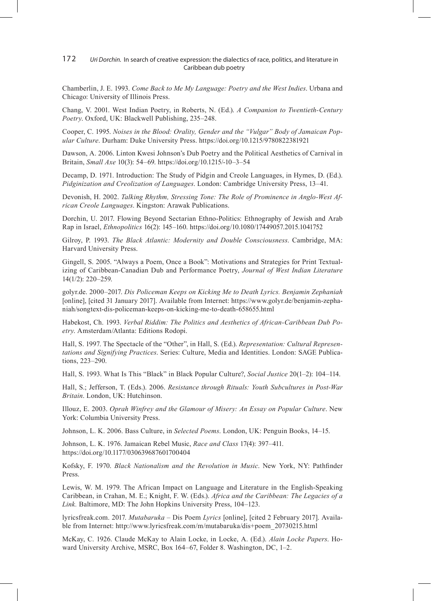#### 172 *Uri Dorchin.* In search of creative expression: the dialectics of race, politics, and literature in Caribbean dub poetry

Chamberlin, J. E. 1993. *Come Back to Me My Language: Poetry and the West Indies*. Urbana and Chicago: University of Illinois Press.

Chang, V. 2001. West Indian Poetry, in Roberts, N. (Ed.). *A Companion to Twentieth-Century Poetry*. Oxford, UK: Blackwell Publishing, 235–248.

Cooper, C. 1995. *Noises in the Blood: Orality, Gender and the "Vulgar" Body of Jamaican Popular Culture*. Durham: Duke University Press. https://doi.org/10.1215/9780822381921

Dawson, A. 2006. Linton Kwesi Johnson's Dub Poetry and the Political Aesthetics of Carnival in Britain, *Small Axe* 10(3): 54–69. https://doi.org/10.1215/-10–3–54

Decamp, D. 1971. Introduction: The Study of Pidgin and Creole Languages, in Hymes, D. (Ed.). *Pidginization and Creolization of Languages*. London: Cambridge University Press, 13–41.

Devonish, H. 2002. *Talking Rhythm, Stressing Tone: The Role of Prominence in Anglo-West African Creole Languages*. Kingston: Arawak Publications.

Dorchin, U. 2017. Flowing Beyond Sectarian Ethno-Politics: Ethnography of Jewish and Arab Rap in Israel, *Ethnopolitics* 16(2): 145–160. https://doi.org/10.1080/17449057.2015.1041752

Gilroy, P. 1993. *The Black Atlantic: Modernity and Double Consciousness*. Cambridge, MA: Harvard University Press.

Gingell, S. 2005. "Always a Poem, Once a Book": Motivations and Strategies for Print Textualizing of Caribbean-Canadian Dub and Performance Poetry, *Journal of West Indian Literature*  14(1/2): 220–259.

golyr.de. 2000–2017. *Dis Policeman Keeps on Kicking Me to Death Lyrics. Benjamin Zephaniah* [online], [cited 31 January 2017]. Available from Internet: https://www.golyr.de/benjamin-zephaniah/songtext-dis-policeman-keeps-on-kicking-me-to-death-658655.html

Habekost, Ch. 1993. *Verbal Riddim: The Politics and Aesthetics of African-Caribbean Dub Poetry*. Amsterdam/Atlanta: Editions Rodopi.

Hall, S. 1997. The Spectacle of the "Other", in Hall, S. (Ed.). *Representation: Cultural Representations and Signifying Practices*. Series: Culture, Media and Identities. London: SAGE Publications, 223–290.

Hall, S. 1993. What Is This "Black" in Black Popular Culture?, *Social Justice* 20(1–2): 104–114.

Hall, S.; Jefferson, T. (Eds.). 2006. *Resistance through Rituals: Youth Subcultures in Post-War Britain*. London, UK: Hutchinson.

Illouz, E. 2003. *Oprah Winfrey and the Glamour of Misery: An Essay on Popular Culture*. New York: Columbia University Press.

Johnson, L. K. 2006. Bass Culture, in *Selected Poems*. London, UK: Penguin Books, 14–15.

Johnson, L. K. 1976. Jamaican Rebel Music, *Race and Class* 17(4): 397–411. https://doi.org/10.1177/030639687601700404

Kofsky, F. 1970. *Black Nationalism and the Revolution in Music*. New York, NY: Pathfinder Press.

Lewis, W. M. 1979. The African Impact on Language and Literature in the English-Speaking Caribbean, in Crahan, M. E.; Knight, F. W. (Eds.). *Africa and the Caribbean: The Legacies of a Link.* Baltimore, MD: The John Hopkins University Press, 104–123.

lyricsfreak.com. 2017. *Mutabaruka –* Dis Poem *Lyrics* [online], [cited 2 February 2017]. Available from Internet: http://www.lyricsfreak.com/m/mutabaruka/dis+poem\_20730215.html

McKay, C. 1926. Claude McKay to Alain Locke, in Locke, A. (Ed.). *Alain Locke Papers*. Howard University Archive, MSRC, Box 164–67, Folder 8. Washington, DC, 1–2.